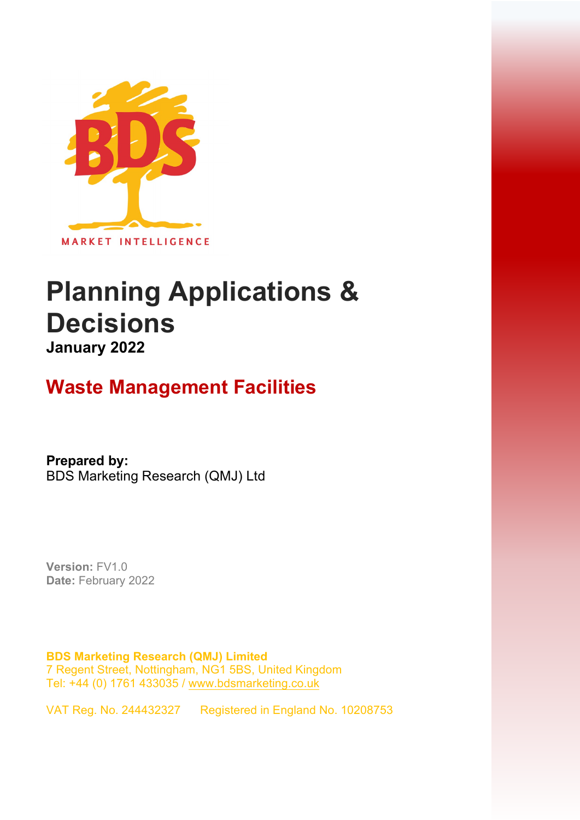

# **Planning Applications & Decisions January 2022**

# **Waste Management Facilities**

**Prepared by:**  BDS Marketing Research (QMJ) Ltd

**Version:** FV1.0 **Date:** February 2022

**BDS Marketing Research (QMJ) Limited**  7 Regent Street, Nottingham, NG1 5BS, United Kingdom Tel: +44 (0) 1761 433035 [/ www.bdsmarketing.co.uk](http://www.bdsmarketing.co.uk/)

VAT Reg. No. 244432327 Registered in England No. 10208753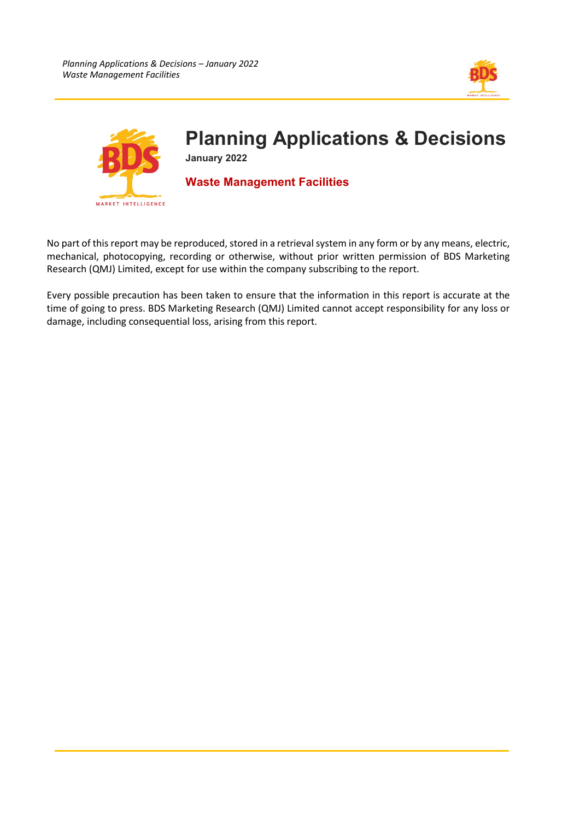



No part of this report may be reproduced, stored in a retrieval system in any form or by any means, electric, mechanical, photocopying, recording or otherwise, without prior written permission of BDS Marketing Research (QMJ) Limited, except for use within the company subscribing to the report.

Every possible precaution has been taken to ensure that the information in this report is accurate at the time of going to press. BDS Marketing Research (QMJ) Limited cannot accept responsibility for any loss or damage, including consequential loss, arising from this report.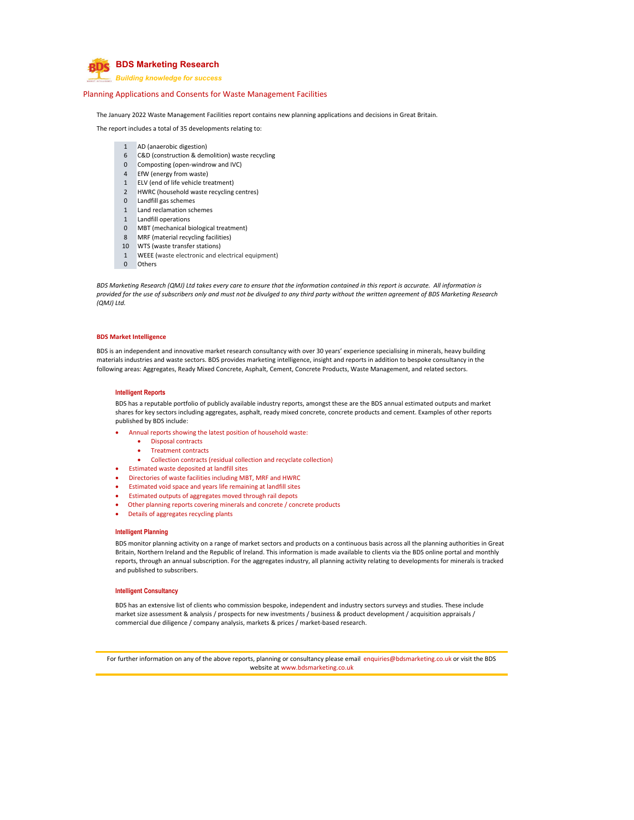

*Building knowledge for success*

#### Planning Applications and Consents for Waste Management Facilities

The January 2022 Waste Management Facilities report contains new planning applications and decisions in Great Britain.

The report includes a total of 35 developments relating to:

- 1 AD (anaerobic digestion)
- 6 C&D (construction & demolition) waste recycling
- 0 Composting (open‐windrow and IVC)
- 4 EfW (energy from waste)
- 1 ELV (end of life vehicle treatment)
- 2 HWRC (household waste recycling centres)
- 0 Landfill gas schemes
- 1 Land reclamation schemes
- 1 Landfill operations
- 0 MBT (mechanical biological treatment)
- 8 MRF (material recycling facilities)
- 10 WTS (waste transfer stations)
- 1 WEEE (waste electronic and electrical equipment)
- 0 Others

BDS Marketing Research (QMJ) Ltd takes every care to ensure that the information contained in this report is accurate. All information is provided for the use of subscribers only and must not be divulged to any third party without the written agreement of BDS Marketing Research *(QMJ) Ltd.*

#### **BDS Market Intelligence**

BDS is an independent and innovative market research consultancy with over 30 years' experience specialising in minerals, heavy building materials industries and waste sectors. BDS provides marketing intelligence, insight and reports in addition to bespoke consultancy in the following areas: Aggregates, Ready Mixed Concrete, Asphalt, Cement, Concrete Products, Waste Management, and related sectors.

#### **Intelligent Reports**

BDS has a reputable portfolio of publicly available industry reports, amongst these are the BDS annual estimated outputs and market shares for key sectors including aggregates, asphalt, ready mixed concrete, concrete products and cement. Examples of other reports published by BDS include:

- Annual reports showing the latest position of household waste:
	- Disposal contracts
	- Treatment contracts
	- Collection contracts (residual collection and recyclate collection)
- Estimated waste deposited at landfill sites
- Directories of waste facilities including MBT, MRF and HWRC
- Estimated void space and years life remaining at landfill sites
- Estimated outputs of aggregates moved through rail depots
- Other planning reports covering minerals and concrete / concrete products
- Details of aggregates recycling plants

#### **Intelligent Planning**

BDS monitor planning activity on a range of market sectors and products on a continuous basis across all the planning authorities in Great Britain, Northern Ireland and the Republic of Ireland. This information is made available to clients via the BDS online portal and monthly reports, through an annual subscription. For the aggregates industry, all planning activity relating to developments for minerals is tracked and published to subscribers.

### **Intelligent Consultancy**

BDS has an extensive list of clients who commission bespoke, independent and industry sectors surveys and studies. These include market size assessment & analysis / prospects for new investments / business & product development / acquisition appraisals / commercial due diligence / company analysis, markets & prices / market-based research.

For further information on any of the above reports, planning or consultancy please email enquiries@bdsmarketing.co.uk or visit the BDS website at www.bdsmarketing.co.uk